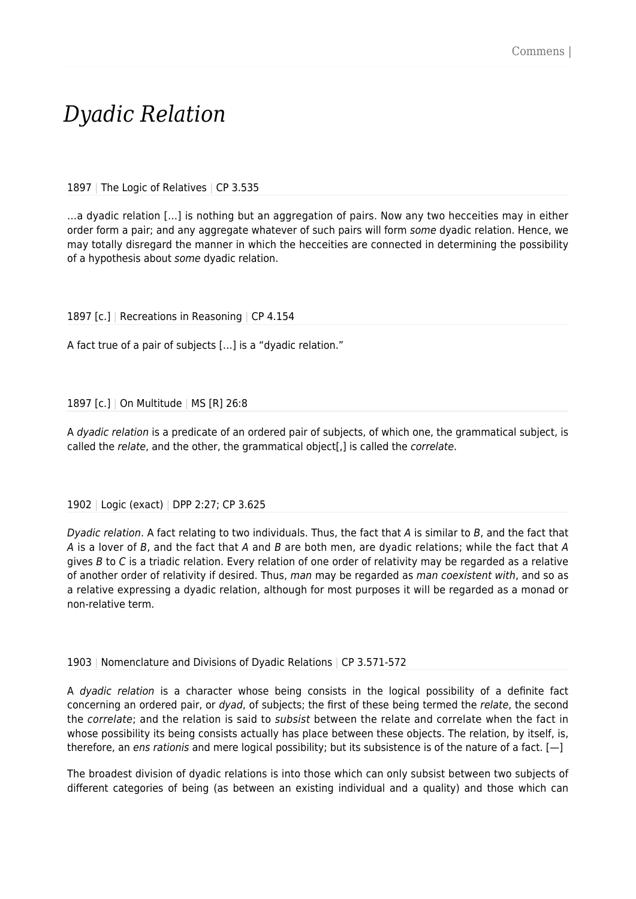## *Dyadic Relation*

1897 | The Logic of Relatives | CP 3.535

…a dyadic relation […] is nothing but an aggregation of pairs. Now any two hecceities may in either order form a pair; and any aggregate whatever of such pairs will form some dyadic relation. Hence, we may totally disregard the manner in which the hecceities are connected in determining the possibility of a hypothesis about some dyadic relation.

1897 [c.] | Recreations in Reasoning | CP 4.154

A fact true of a pair of subjects […] is a "dyadic relation."

1897 [c.] | On Multitude | MS [R] 26:8

A dyadic relation is a predicate of an ordered pair of subjects, of which one, the grammatical subject, is called the relate, and the other, the grammatical object[,] is called the *correlate*.

## 1902 | Logic (exact) | DPP 2:27; CP 3.625

Dyadic relation. A fact relating to two individuals. Thus, the fact that A is similar to B, and the fact that A is a lover of B, and the fact that A and B are both men, are dyadic relations; while the fact that A gives B to C is a triadic relation. Every relation of one order of relativity may be regarded as a relative of another order of relativity if desired. Thus, man may be regarded as man coexistent with, and so as a relative expressing a dyadic relation, although for most purposes it will be regarded as a monad or non-relative term.

1903 | Nomenclature and Divisions of Dyadic Relations | CP 3.571-572

A dyadic relation is a character whose being consists in the logical possibility of a definite fact concerning an ordered pair, or dyad, of subjects; the first of these being termed the relate, the second the *correlate*; and the relation is said to *subsist* between the relate and correlate when the fact in whose possibility its being consists actually has place between these objects. The relation, by itself, is, therefore, an ens rationis and mere logical possibility; but its subsistence is of the nature of a fact. [-]

The broadest division of dyadic relations is into those which can only subsist between two subjects of different categories of being (as between an existing individual and a quality) and those which can